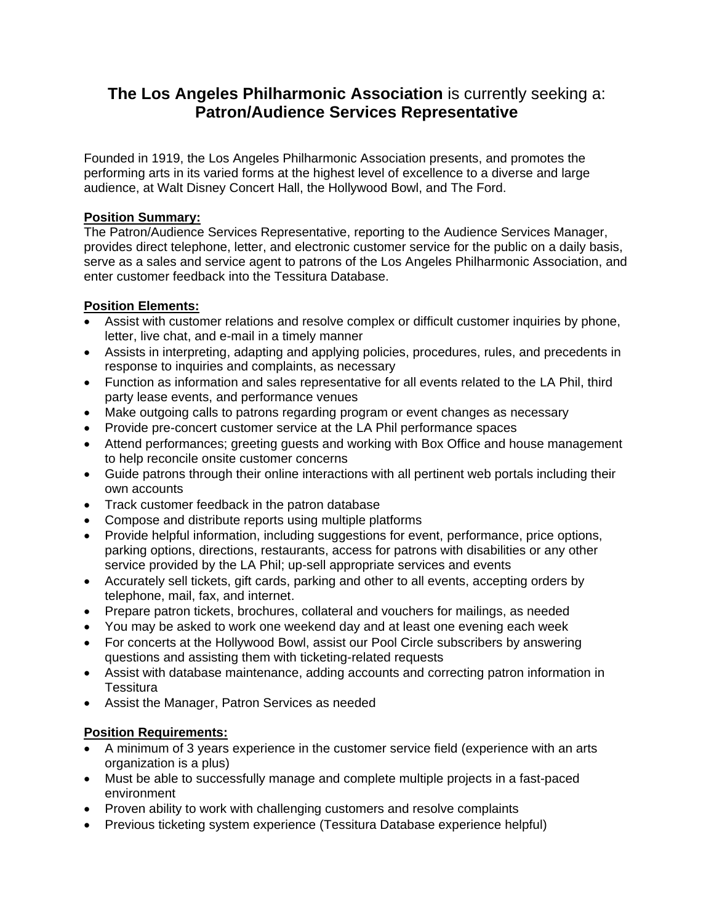# **The Los Angeles Philharmonic Association** is currently seeking a: **Patron/Audience Services Representative**

Founded in 1919, the Los Angeles Philharmonic Association presents, and promotes the performing arts in its varied forms at the highest level of excellence to a diverse and large audience, at Walt Disney Concert Hall, the Hollywood Bowl, and The Ford.

## **Position Summary:**

The Patron/Audience Services Representative, reporting to the Audience Services Manager, provides direct telephone, letter, and electronic customer service for the public on a daily basis, serve as a sales and service agent to patrons of the Los Angeles Philharmonic Association, and enter customer feedback into the Tessitura Database.

## **Position Elements:**

- Assist with customer relations and resolve complex or difficult customer inquiries by phone, letter, live chat, and e-mail in a timely manner
- Assists in interpreting, adapting and applying policies, procedures, rules, and precedents in response to inquiries and complaints, as necessary
- Function as information and sales representative for all events related to the LA Phil, third party lease events, and performance venues
- Make outgoing calls to patrons regarding program or event changes as necessary
- Provide pre-concert customer service at the LA Phil performance spaces
- Attend performances; greeting guests and working with Box Office and house management to help reconcile onsite customer concerns
- Guide patrons through their online interactions with all pertinent web portals including their own accounts
- Track customer feedback in the patron database
- Compose and distribute reports using multiple platforms
- Provide helpful information, including suggestions for event, performance, price options, parking options, directions, restaurants, access for patrons with disabilities or any other service provided by the LA Phil; up-sell appropriate services and events
- Accurately sell tickets, gift cards, parking and other to all events, accepting orders by telephone, mail, fax, and internet.
- Prepare patron tickets, brochures, collateral and vouchers for mailings, as needed
- You may be asked to work one weekend day and at least one evening each week
- For concerts at the Hollywood Bowl, assist our Pool Circle subscribers by answering questions and assisting them with ticketing-related requests
- Assist with database maintenance, adding accounts and correcting patron information in **Tessitura**
- Assist the Manager, Patron Services as needed

## **Position Requirements:**

- A minimum of 3 years experience in the customer service field (experience with an arts organization is a plus)
- Must be able to successfully manage and complete multiple projects in a fast-paced environment
- Proven ability to work with challenging customers and resolve complaints
- Previous ticketing system experience (Tessitura Database experience helpful)